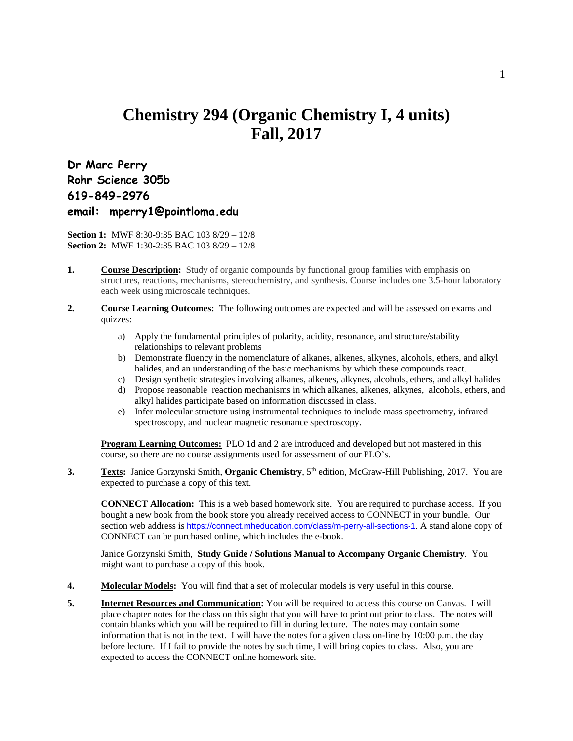## **Chemistry 294 (Organic Chemistry I, 4 units) Fall, 2017**

**Dr Marc Perry Rohr Science 305b 619-849-2976 email: mperry1@pointloma.edu**

**Section 1:** MWF 8:30-9:35 BAC 103 8/29 – 12/8 **Section 2:** MWF 1:30-2:35 BAC 103 8/29 – 12/8

- **1. Course Description:** Study of organic compounds by functional group families with emphasis on structures, reactions, mechanisms, stereochemistry, and synthesis. Course includes one 3.5-hour laboratory each week using microscale techniques.
- **2. Course Learning Outcomes:** The following outcomes are expected and will be assessed on exams and quizzes:
	- a) Apply the fundamental principles of polarity, acidity, resonance, and structure/stability relationships to relevant problems
	- b) Demonstrate fluency in the nomenclature of alkanes, alkenes, alkynes, alcohols, ethers, and alkyl halides, and an understanding of the basic mechanisms by which these compounds react.
	- c) Design synthetic strategies involving alkanes, alkenes, alkynes, alcohols, ethers, and alkyl halides
	- d) Propose reasonable reaction mechanisms in which alkanes, alkenes, alkynes, alcohols, ethers, and alkyl halides participate based on information discussed in class.
	- e) Infer molecular structure using instrumental techniques to include mass spectrometry, infrared spectroscopy, and nuclear magnetic resonance spectroscopy.

**Program Learning Outcomes:** PLO 1d and 2 are introduced and developed but not mastered in this course, so there are no course assignments used for assessment of our PLO's.

**3. Texts:** Janice Gorzynski Smith, **Organic Chemistry**, 5<sup>th</sup> edition, McGraw-Hill Publishing, 2017. You are expected to purchase a copy of this text.

**CONNECT Allocation:** This is a web based homework site. You are required to purchase access. If you bought a new book from the book store you already received access to CONNECT in your bundle. Our section web address is [https://connect.mheducation.com/class/m-perry-all-sections-1.](https://connect.mheducation.com/class/m-perry-all-sections-1) A stand alone copy of CONNECT can be purchased online, which includes the e-book.

Janice Gorzynski Smith, **Study Guide / Solutions Manual to Accompany Organic Chemistry**. You might want to purchase a copy of this book.

- **4. Molecular Models:** You will find that a set of molecular models is very useful in this course.
- **5. Internet Resources and Communication:** You will be required to access this course on Canvas. I will place chapter notes for the class on this sight that you will have to print out prior to class. The notes will contain blanks which you will be required to fill in during lecture. The notes may contain some information that is not in the text. I will have the notes for a given class on-line by 10:00 p.m. the day before lecture. If I fail to provide the notes by such time, I will bring copies to class. Also, you are expected to access the CONNECT online homework site.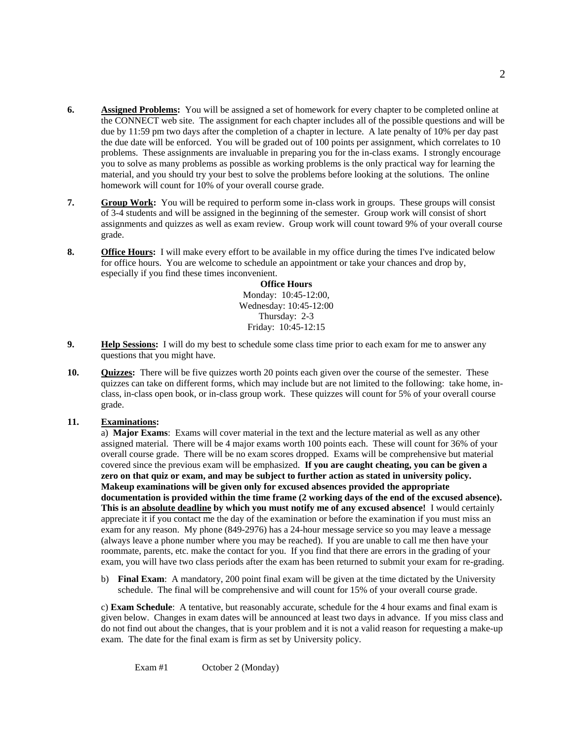- **6. Assigned Problems:** You will be assigned a set of homework for every chapter to be completed online at the CONNECT web site. The assignment for each chapter includes all of the possible questions and will be due by 11:59 pm two days after the completion of a chapter in lecture. A late penalty of 10% per day past the due date will be enforced. You will be graded out of 100 points per assignment, which correlates to 10 problems. These assignments are invaluable in preparing you for the in-class exams. I strongly encourage you to solve as many problems as possible as working problems is the only practical way for learning the material, and you should try your best to solve the problems before looking at the solutions. The online homework will count for 10% of your overall course grade.
- **7. Group Work:** You will be required to perform some in-class work in groups. These groups will consist of 3-4 students and will be assigned in the beginning of the semester. Group work will consist of short assignments and quizzes as well as exam review. Group work will count toward 9% of your overall course grade.
- **8. Office Hours:** I will make every effort to be available in my office during the times I've indicated below for office hours. You are welcome to schedule an appointment or take your chances and drop by, especially if you find these times inconvenient.

**Office Hours** Monday: 10:45-12:00, Wednesday: 10:45-12:00 Thursday: 2-3 Friday: 10:45-12:15

- **9. Help Sessions:** I will do my best to schedule some class time prior to each exam for me to answer any questions that you might have.
- **10. Quizzes:** There will be five quizzes worth 20 points each given over the course of the semester. These quizzes can take on different forms, which may include but are not limited to the following: take home, inclass, in-class open book, or in-class group work. These quizzes will count for 5% of your overall course grade.

## **11. Examinations:**

a) **Major Exams**: Exams will cover material in the text and the lecture material as well as any other assigned material. There will be 4 major exams worth 100 points each. These will count for 36% of your overall course grade. There will be no exam scores dropped. Exams will be comprehensive but material covered since the previous exam will be emphasized. **If you are caught cheating, you can be given a zero on that quiz or exam, and may be subject to further action as stated in university policy. Makeup examinations will be given only for excused absences provided the appropriate documentation is provided within the time frame (2 working days of the end of the excused absence). This is an absolute deadline by which you must notify me of any excused absence!** I would certainly appreciate it if you contact me the day of the examination or before the examination if you must miss an exam for any reason. My phone (849-2976) has a 24-hour message service so you may leave a message (always leave a phone number where you may be reached). If you are unable to call me then have your roommate, parents, etc. make the contact for you. If you find that there are errors in the grading of your exam, you will have two class periods after the exam has been returned to submit your exam for re-grading.

b) **Final Exam**: A mandatory, 200 point final exam will be given at the time dictated by the University schedule. The final will be comprehensive and will count for 15% of your overall course grade.

c) **Exam Schedule**: A tentative, but reasonably accurate, schedule for the 4 hour exams and final exam is given below. Changes in exam dates will be announced at least two days in advance. If you miss class and do not find out about the changes, that is your problem and it is not a valid reason for requesting a make-up exam. The date for the final exam is firm as set by University policy.

Exam #1 October 2 (Monday)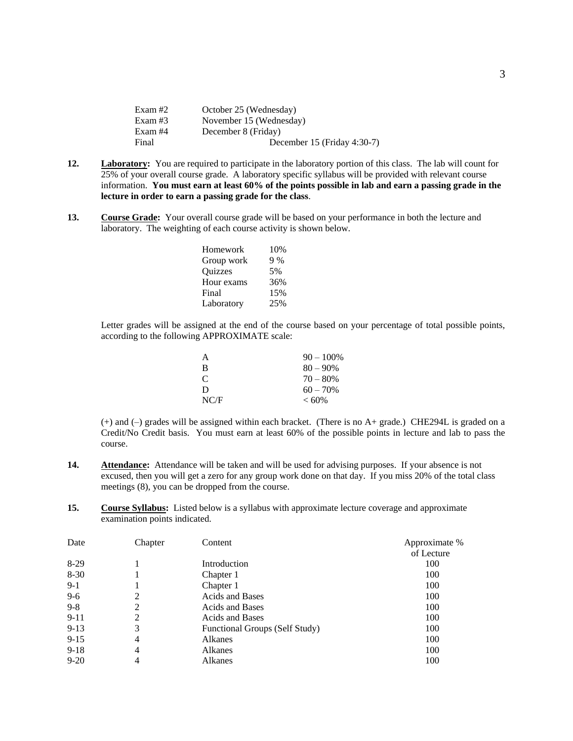| Exam #2 | October 25 (Wednesday)      |
|---------|-----------------------------|
| Exam #3 | November 15 (Wednesday)     |
| Exam #4 | December 8 (Friday)         |
| Final   | December 15 (Friday 4:30-7) |

- **12. Laboratory:** You are required to participate in the laboratory portion of this class. The lab will count for 25% of your overall course grade. A laboratory specific syllabus will be provided with relevant course information. **You must earn at least 60% of the points possible in lab and earn a passing grade in the lecture in order to earn a passing grade for the class**.
- **13. Course Grade:** Your overall course grade will be based on your performance in both the lecture and laboratory. The weighting of each course activity is shown below.

| Homework   | 10% |
|------------|-----|
| Group work | 9%  |
| Quizzes    | 5%  |
| Hour exams | 36% |
| Final      | 15% |
| Laboratory | 25% |
|            |     |

Letter grades will be assigned at the end of the course based on your percentage of total possible points, according to the following APPROXIMATE scale:

| A             | $90 - 100\%$ |
|---------------|--------------|
| B             | $80 - 90\%$  |
| $\mathcal{C}$ | $70 - 80%$   |
| D             | $60 - 70%$   |
| NC/F          | $< 60\%$     |

(+) and (–) grades will be assigned within each bracket. (There is no A+ grade.) CHE294L is graded on a Credit/No Credit basis. You must earn at least 60% of the possible points in lecture and lab to pass the course.

- **14. Attendance:** Attendance will be taken and will be used for advising purposes. If your absence is not excused, then you will get a zero for any group work done on that day. If you miss 20% of the total class meetings (8), you can be dropped from the course.
- **15. Course Syllabus:** Listed below is a syllabus with approximate lecture coverage and approximate examination points indicated.

| Date     | Chapter        | Content                        | Approximate % |
|----------|----------------|--------------------------------|---------------|
|          |                |                                | of Lecture    |
| $8-29$   |                | Introduction                   | 100           |
| $8 - 30$ |                | Chapter 1                      | 100           |
| $9-1$    |                | Chapter 1                      | 100           |
| $9 - 6$  | 2              | <b>Acids and Bases</b>         | 100           |
| $9 - 8$  | 2              | <b>Acids and Bases</b>         | 100           |
| $9 - 11$ | 2              | <b>Acids and Bases</b>         | 100           |
| $9-13$   | 3              | Functional Groups (Self Study) | 100           |
| $9 - 15$ | 4              | Alkanes                        | 100           |
| $9-18$   | $\overline{4}$ | Alkanes                        | 100           |
| $9 - 20$ | 4              | Alkanes                        | 100           |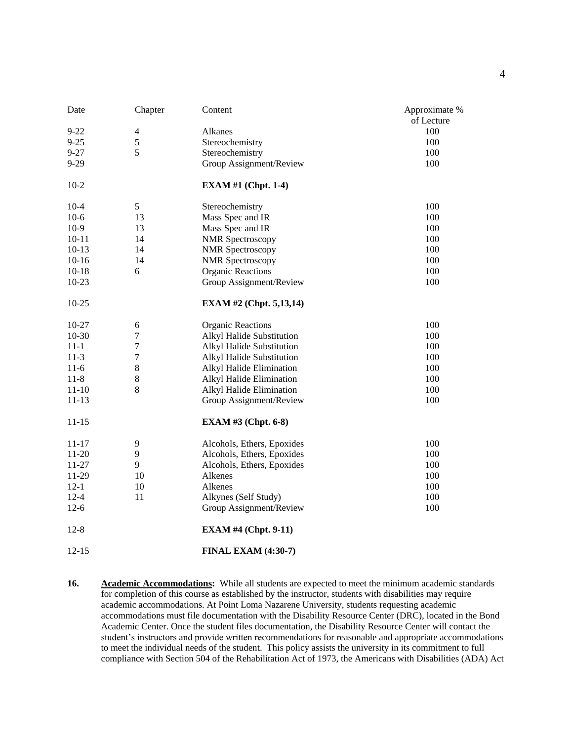| Date      | Chapter          | Content                        | Approximate %<br>of Lecture |
|-----------|------------------|--------------------------------|-----------------------------|
| $9 - 22$  | $\overline{4}$   | Alkanes                        | 100                         |
| $9 - 25$  | 5                | Stereochemistry                | 100                         |
| $9 - 27$  | $\overline{5}$   | Stereochemistry                | 100                         |
| $9 - 29$  |                  | Group Assignment/Review        | 100                         |
| $10-2$    |                  | <b>EXAM #1 (Chpt. 1-4)</b>     |                             |
| $10 - 4$  | 5                | Stereochemistry                | 100                         |
| $10-6$    | 13               | Mass Spec and IR               | 100                         |
| $10-9$    | 13               | Mass Spec and IR               | 100                         |
| $10 - 11$ | 14               | <b>NMR</b> Spectroscopy        | 100                         |
| $10-13$   | 14               | <b>NMR</b> Spectroscopy        | 100                         |
| $10 - 16$ | 14               | <b>NMR</b> Spectroscopy        | 100                         |
| $10 - 18$ | 6                | <b>Organic Reactions</b>       | 100                         |
| $10 - 23$ |                  | Group Assignment/Review        | 100                         |
| $10 - 25$ |                  | <b>EXAM #2 (Chpt. 5,13,14)</b> |                             |
| 10-27     | 6                | <b>Organic Reactions</b>       | 100                         |
| $10 - 30$ | $\boldsymbol{7}$ | Alkyl Halide Substitution      | 100                         |
| $11 - 1$  | $\boldsymbol{7}$ | Alkyl Halide Substitution      | 100                         |
| $11-3$    | $\boldsymbol{7}$ | Alkyl Halide Substitution      | 100                         |
| $11-6$    | $\,8\,$          | Alkyl Halide Elimination       | 100                         |
| $11 - 8$  | $\bf 8$          | Alkyl Halide Elimination       | 100                         |
| $11 - 10$ | $\,8\,$          | Alkyl Halide Elimination       | 100                         |
| $11 - 13$ |                  | Group Assignment/Review        | 100                         |
| $11 - 15$ |                  | <b>EXAM #3 (Chpt. 6-8)</b>     |                             |
| 11-17     | 9                | Alcohols, Ethers, Epoxides     | 100                         |
| $11 - 20$ | 9                | Alcohols, Ethers, Epoxides     | 100                         |
| $11 - 27$ | 9                | Alcohols, Ethers, Epoxides     | 100                         |
| 11-29     | 10               | Alkenes                        | 100                         |
| $12-1$    | 10               | Alkenes                        | 100                         |
| $12 - 4$  | 11               | Alkynes (Self Study)           | 100                         |
| $12 - 6$  |                  | Group Assignment/Review        | 100                         |
| $12 - 8$  |                  | <b>EXAM #4 (Chpt. 9-11)</b>    |                             |
| $12 - 15$ |                  | <b>FINAL EXAM (4:30-7)</b>     |                             |

**<sup>16.</sup> Academic Accommodations:** While all students are expected to meet the minimum academic standards for completion of this course as established by the instructor, students with disabilities may require academic accommodations. At Point Loma Nazarene University, students requesting academic accommodations must file documentation with the Disability Resource Center (DRC), located in the Bond Academic Center. Once the student files documentation, the Disability Resource Center will contact the student's instructors and provide written recommendations for reasonable and appropriate accommodations to meet the individual needs of the student. This policy assists the university in its commitment to full compliance with Section 504 of the Rehabilitation Act of 1973, the Americans with Disabilities (ADA) Act